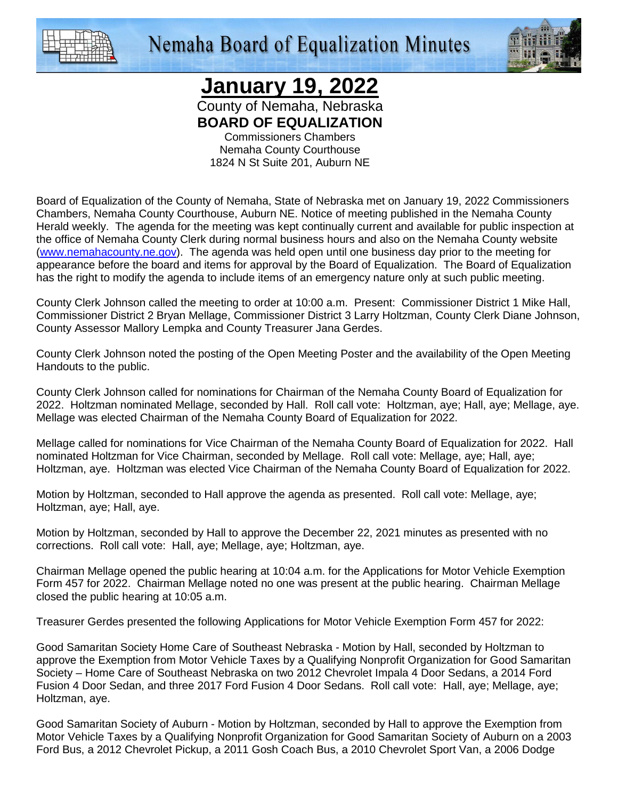

## **Nemaha Board of Equalization Minutes**



**January 19, 2022**

County of Nemaha, Nebraska **BOARD OF EQUALIZATION** 

Commissioners Chambers Nemaha County Courthouse 1824 N St Suite 201, Auburn NE

Board of Equalization of the County of Nemaha, State of Nebraska met on January 19, 2022 Commissioners Chambers, Nemaha County Courthouse, Auburn NE. Notice of meeting published in the Nemaha County Herald weekly. The agenda for the meeting was kept continually current and available for public inspection at the office of Nemaha County Clerk during normal business hours and also on the Nemaha County website (www.nemahacounty.ne.gov). The agenda was held open until one business day prior to the meeting for appearance before the board and items for approval by the Board of Equalization. The Board of Equalization has the right to modify the agenda to include items of an emergency nature only at such public meeting.

County Clerk Johnson called the meeting to order at 10:00 a.m. Present: Commissioner District 1 Mike Hall, Commissioner District 2 Bryan Mellage, Commissioner District 3 Larry Holtzman, County Clerk Diane Johnson, County Assessor Mallory Lempka and County Treasurer Jana Gerdes.

County Clerk Johnson noted the posting of the Open Meeting Poster and the availability of the Open Meeting Handouts to the public.

County Clerk Johnson called for nominations for Chairman of the Nemaha County Board of Equalization for 2022. Holtzman nominated Mellage, seconded by Hall. Roll call vote: Holtzman, aye; Hall, aye; Mellage, aye. Mellage was elected Chairman of the Nemaha County Board of Equalization for 2022.

Mellage called for nominations for Vice Chairman of the Nemaha County Board of Equalization for 2022. Hall nominated Holtzman for Vice Chairman, seconded by Mellage. Roll call vote: Mellage, aye; Hall, aye; Holtzman, aye. Holtzman was elected Vice Chairman of the Nemaha County Board of Equalization for 2022.

Motion by Holtzman, seconded to Hall approve the agenda as presented. Roll call vote: Mellage, aye; Holtzman, aye; Hall, aye.

Motion by Holtzman, seconded by Hall to approve the December 22, 2021 minutes as presented with no corrections. Roll call vote: Hall, aye; Mellage, aye; Holtzman, aye.

Chairman Mellage opened the public hearing at 10:04 a.m. for the Applications for Motor Vehicle Exemption Form 457 for 2022. Chairman Mellage noted no one was present at the public hearing. Chairman Mellage closed the public hearing at 10:05 a.m.

Treasurer Gerdes presented the following Applications for Motor Vehicle Exemption Form 457 for 2022:

Good Samaritan Society Home Care of Southeast Nebraska - Motion by Hall, seconded by Holtzman to approve the Exemption from Motor Vehicle Taxes by a Qualifying Nonprofit Organization for Good Samaritan Society – Home Care of Southeast Nebraska on two 2012 Chevrolet Impala 4 Door Sedans, a 2014 Ford Fusion 4 Door Sedan, and three 2017 Ford Fusion 4 Door Sedans. Roll call vote: Hall, aye; Mellage, aye; Holtzman, aye.

Good Samaritan Society of Auburn - Motion by Holtzman, seconded by Hall to approve the Exemption from Motor Vehicle Taxes by a Qualifying Nonprofit Organization for Good Samaritan Society of Auburn on a 2003 Ford Bus, a 2012 Chevrolet Pickup, a 2011 Gosh Coach Bus, a 2010 Chevrolet Sport Van, a 2006 Dodge